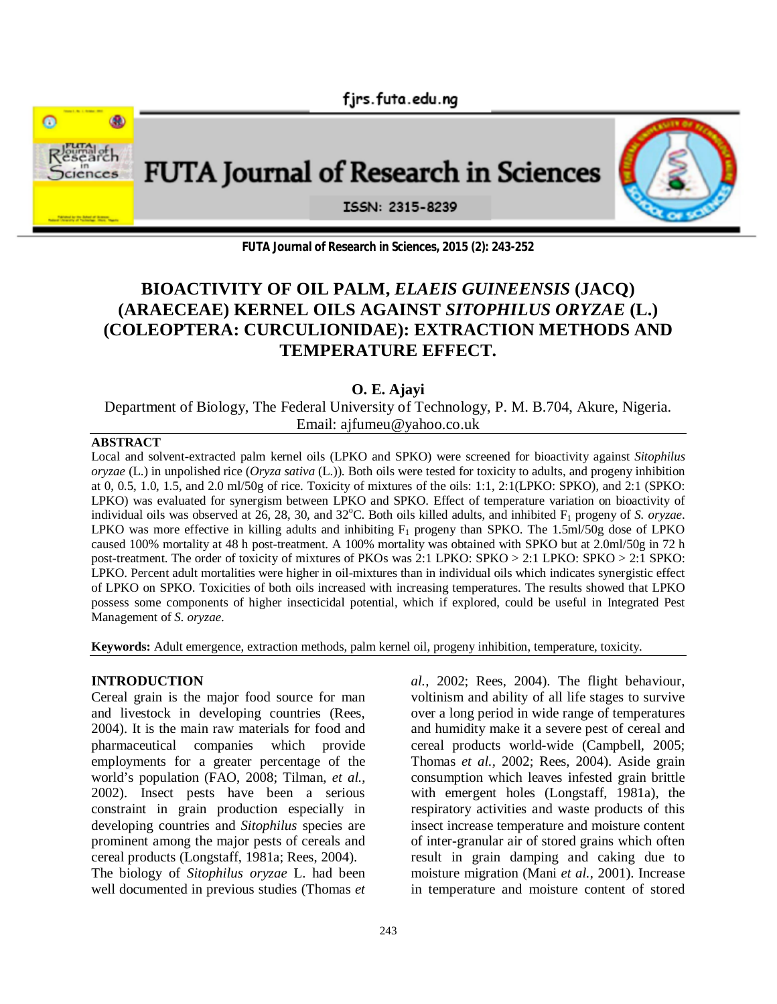firs.futa.edu.ng



## **FUTA Journal of Research in Sciences, 2015 (2): 243-252**

# **BIOACTIVITY OF OIL PALM,** *ELAEIS GUINEENSIS* **(JACQ) (ARAECEAE) KERNEL OILS AGAINST** *SITOPHILUS ORYZAE* **(L.) (COLEOPTERA: CURCULIONIDAE): EXTRACTION METHODS AND TEMPERATURE EFFECT.**

# **O. E. Ajayi**

Department of Biology, The Federal University of Technology, P. M. B.704, Akure, Nigeria. Email: ajfumeu@yahoo.co.uk

#### **ABSTRACT**

Local and solvent-extracted palm kernel oils (LPKO and SPKO) were screened for bioactivity against *Sitophilus oryzae* (L.) in unpolished rice (*Oryza sativa* (L.)). Both oils were tested for toxicity to adults, and progeny inhibition at 0, 0.5, 1.0, 1.5, and 2.0 ml/50g of rice. Toxicity of mixtures of the oils: 1:1, 2:1(LPKO: SPKO), and 2:1 (SPKO: LPKO) was evaluated for synergism between LPKO and SPKO. Effect of temperature variation on bioactivity of individual oils was observed at 26, 28, 30, and 32°C. Both oils killed adults, and inhibited F<sub>1</sub> progeny of *S. oryzae*. LPKO was more effective in killing adults and inhibiting  $F_1$  progeny than SPKO. The 1.5ml/50g dose of LPKO caused 100% mortality at 48 h post-treatment. A 100% mortality was obtained with SPKO but at 2.0ml/50g in 72 h post-treatment. The order of toxicity of mixtures of PKOs was 2:1 LPKO: SPKO > 2:1 LPKO: SPKO > 2:1 SPKO: LPKO. Percent adult mortalities were higher in oil-mixtures than in individual oils which indicates synergistic effect of LPKO on SPKO. Toxicities of both oils increased with increasing temperatures. The results showed that LPKO possess some components of higher insecticidal potential, which if explored, could be useful in Integrated Pest Management of *S. oryzae*.

**Keywords:** Adult emergence, extraction methods, palm kernel oil, progeny inhibition, temperature, toxicity.

#### **INTRODUCTION**

Cereal grain is the major food source for man and livestock in developing countries (Rees, 2004). It is the main raw materials for food and pharmaceutical companies which provide employments for a greater percentage of the world's population (FAO, 2008; Tilman, *et al.*, 2002). Insect pests have been a serious constraint in grain production especially in developing countries and *Sitophilus* species are prominent among the major pests of cereals and cereal products (Longstaff, 1981a; Rees, 2004). The biology of *Sitophilus oryzae* L. had been well documented in previous studies (Thomas *et* 

*al.,* 2002; Rees, 2004). The flight behaviour, voltinism and ability of all life stages to survive over a long period in wide range of temperatures and humidity make it a severe pest of cereal and cereal products world-wide (Campbell, 2005; Thomas *et al.,* 2002; Rees, 2004). Aside grain consumption which leaves infested grain brittle with emergent holes (Longstaff, 1981a), the respiratory activities and waste products of this insect increase temperature and moisture content of inter-granular air of stored grains which often result in grain damping and caking due to moisture migration (Mani *et al.,* 2001). Increase in temperature and moisture content of stored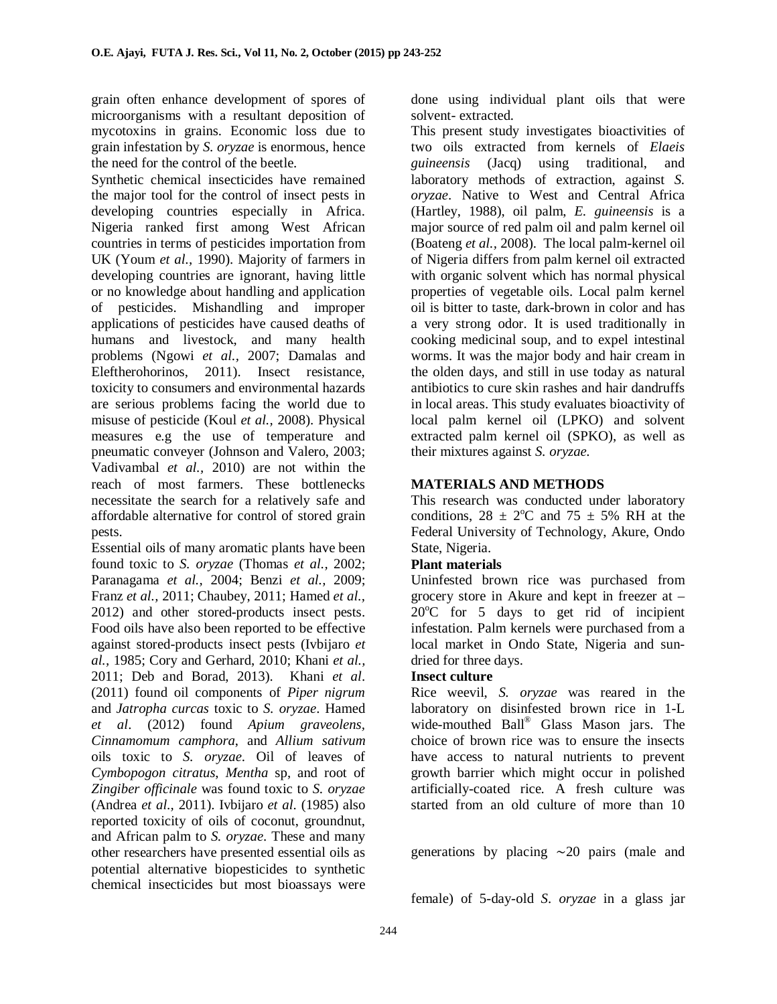grain often enhance development of spores of microorganisms with a resultant deposition of mycotoxins in grains. Economic loss due to grain infestation by *S. oryzae* is enormous, hence the need for the control of the beetle.

Synthetic chemical insecticides have remained the major tool for the control of insect pests in developing countries especially in Africa. Nigeria ranked first among West African countries in terms of pesticides importation from UK (Youm *et al.,* 1990). Majority of farmers in developing countries are ignorant, having little or no knowledge about handling and application of pesticides. Mishandling and improper applications of pesticides have caused deaths of humans and livestock, and many health problems (Ngowi *et al.,* 2007; Damalas and Eleftherohorinos, 2011). Insect resistance, toxicity to consumers and environmental hazards are serious problems facing the world due to misuse of pesticide (Koul *et al.,* 2008). Physical measures e.g the use of temperature and pneumatic conveyer (Johnson and Valero, 2003; Vadivambal *et al.,* 2010) are not within the reach of most farmers. These bottlenecks necessitate the search for a relatively safe and affordable alternative for control of stored grain pests.

Essential oils of many aromatic plants have been found toxic to *S. oryzae* (Thomas *et al.,* 2002; Paranagama *et al.,* 2004; Benzi *et al.,* 2009; Franz *et al.,* 2011; Chaubey, 2011; Hamed *et al.,* 2012) and other stored-products insect pests. Food oils have also been reported to be effective against stored-products insect pests (Ivbijaro *et al.,* 1985; Cory and Gerhard, 2010; Khani *et al.,* 2011; Deb and Borad, 2013). Khani *et al*. (2011) found oil components of *Piper nigrum* and *Jatropha curcas* toxic to *S. oryzae*. Hamed *et al*. (2012) found *Apium graveolens, Cinnamomum camphora*, and *Allium sativum* oils toxic to *S. oryzae*. Oil of leaves of *Cymbopogon citratus*, *Mentha* sp, and root of *Zingiber officinale* was found toxic to *S. oryzae* (Andrea *et al.,* 2011). Ivbijaro *et al*. (1985) also reported toxicity of oils of coconut, groundnut, and African palm to *S. oryzae*. These and many other researchers have presented essential oils as potential alternative biopesticides to synthetic chemical insecticides but most bioassays were

done using individual plant oils that were solvent- extracted.

This present study investigates bioactivities of two oils extracted from kernels of *Elaeis guineensis* (Jacq) using traditional, and laboratory methods of extraction, against *S. oryzae*. Native to West and Central Africa (Hartley, 1988), oil palm, *E. guineensis* is a major source of red palm oil and palm kernel oil (Boateng *et al.,* 2008). The local palm-kernel oil of Nigeria differs from palm kernel oil extracted with organic solvent which has normal physical properties of vegetable oils. Local palm kernel oil is bitter to taste, dark-brown in color and has a very strong odor. It is used traditionally in cooking medicinal soup, and to expel intestinal worms. It was the major body and hair cream in the olden days, and still in use today as natural antibiotics to cure skin rashes and hair dandruffs in local areas. This study evaluates bioactivity of local palm kernel oil (LPKO) and solvent extracted palm kernel oil (SPKO), as well as their mixtures against *S. oryzae.*

# **MATERIALS AND METHODS**

This research was conducted under laboratory conditions,  $28 \pm 2^{\circ}\text{C}$  and  $75 \pm 5\%$  RH at the Federal University of Technology, Akure, Ondo State, Nigeria.

## **Plant materials**

Uninfested brown rice was purchased from grocery store in Akure and kept in freezer at –  $20^{\circ}$ C for 5 days to get rid of incipient infestation. Palm kernels were purchased from a local market in Ondo State, Nigeria and sundried for three days.

## **Insect culture**

Rice weevil, *S. oryzae* was reared in the laboratory on disinfested brown rice in 1-L wide-mouthed Ball® Glass Mason jars. The choice of brown rice was to ensure the insects have access to natural nutrients to prevent growth barrier which might occur in polished artificially-coated rice. A fresh culture was started from an old culture of more than 10

generations by placing ∼20 pairs (male and

female) of 5-day-old *S*. *oryzae* in a glass jar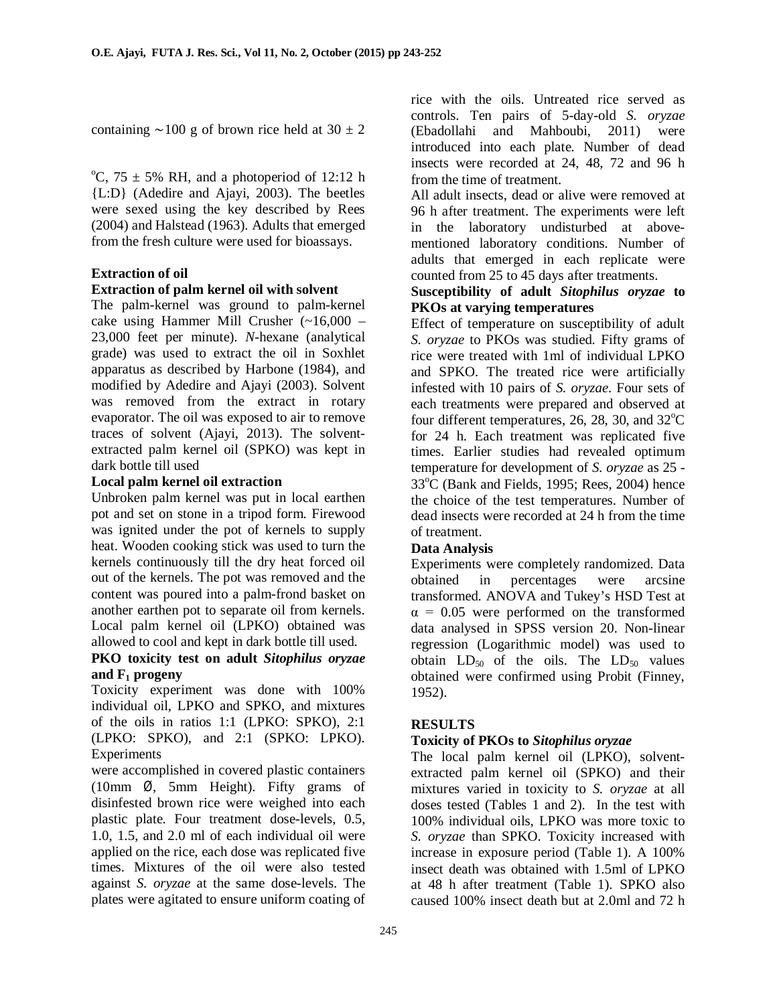containing ∼100 g of brown rice held at  $30 \pm 2$ 

<sup>o</sup>C,  $75 \pm 5\%$  RH, and a photoperiod of 12:12 h {L:D} (Adedire and Ajayi, 2003). The beetles were sexed using the key described by Rees (2004) and Halstead (1963). Adults that emerged from the fresh culture were used for bioassays.

# **Extraction of oil**

## **Extraction of palm kernel oil with solvent**

The palm-kernel was ground to palm-kernel cake using Hammer Mill Crusher (~16,000 – 23,000 feet per minute). *N*-hexane (analytical grade) was used to extract the oil in Soxhlet apparatus as described by Harbone (1984), and modified by Adedire and Ajayi (2003). Solvent was removed from the extract in rotary evaporator. The oil was exposed to air to remove traces of solvent (Ajayi, 2013). The solventextracted palm kernel oil (SPKO) was kept in dark bottle till used

#### **Local palm kernel oil extraction**

Unbroken palm kernel was put in local earthen pot and set on stone in a tripod form. Firewood was ignited under the pot of kernels to supply heat. Wooden cooking stick was used to turn the kernels continuously till the dry heat forced oil out of the kernels. The pot was removed and the content was poured into a palm-frond basket on another earthen pot to separate oil from kernels. Local palm kernel oil (LPKO) obtained was allowed to cool and kept in dark bottle till used.

## **PKO toxicity test on adult** *Sitophilus oryzae* **and F1 progeny**

Toxicity experiment was done with 100% individual oil, LPKO and SPKO, and mixtures of the oils in ratios 1:1 (LPKO: SPKO), 2:1 (LPKO: SPKO), and 2:1 (SPKO: LPKO). Experiments

were accomplished in covered plastic containers (10mm Ø, 5mm Height). Fifty grams of disinfested brown rice were weighed into each plastic plate. Four treatment dose-levels, 0.5, 1.0, 1.5, and 2.0 ml of each individual oil were applied on the rice, each dose was replicated five times. Mixtures of the oil were also tested against *S. oryzae* at the same dose-levels. The plates were agitated to ensure uniform coating of

rice with the oils. Untreated rice served as controls. Ten pairs of 5-day-old *S. oryzae* (Ebadollahi and Mahboubi, 2011) were introduced into each plate. Number of dead insects were recorded at 24, 48, 72 and 96 h from the time of treatment.

All adult insects, dead or alive were removed at 96 h after treatment. The experiments were left in the laboratory undisturbed at abovementioned laboratory conditions. Number of adults that emerged in each replicate were counted from 25 to 45 days after treatments.

#### **Susceptibility of adult** *Sitophilus oryzae* **to PKOs at varying temperatures**

Effect of temperature on susceptibility of adult *S. oryzae* to PKOs was studied. Fifty grams of rice were treated with 1ml of individual LPKO and SPKO. The treated rice were artificially infested with 10 pairs of *S. oryzae*. Four sets of each treatments were prepared and observed at four different temperatures, 26, 28, 30, and  $32^{\circ}$ C for 24 h. Each treatment was replicated five times. Earlier studies had revealed optimum temperature for development of *S. oryzae* as 25 -  $33^{\circ}$ C (Bank and Fields, 1995; Rees, 2004) hence the choice of the test temperatures. Number of dead insects were recorded at 24 h from the time of treatment.

## **Data Analysis**

Experiments were completely randomized. Data obtained in percentages were arcsine transformed. ANOVA and Tukey's HSD Test at  $\alpha$  = 0.05 were performed on the transformed data analysed in SPSS version 20. Non-linear regression (Logarithmic model) was used to obtain  $LD_{50}$  of the oils. The  $LD_{50}$  values obtained were confirmed using Probit (Finney, 1952).

## **RESULTS**

## **Toxicity of PKOs to** *Sitophilus oryzae*

The local palm kernel oil (LPKO), solventextracted palm kernel oil (SPKO) and their mixtures varied in toxicity to *S. oryzae* at all doses tested (Tables 1 and 2). In the test with 100% individual oils, LPKO was more toxic to *S. oryzae* than SPKO. Toxicity increased with increase in exposure period (Table 1). A 100% insect death was obtained with 1.5ml of LPKO at 48 h after treatment (Table 1). SPKO also caused 100% insect death but at 2.0ml and 72 h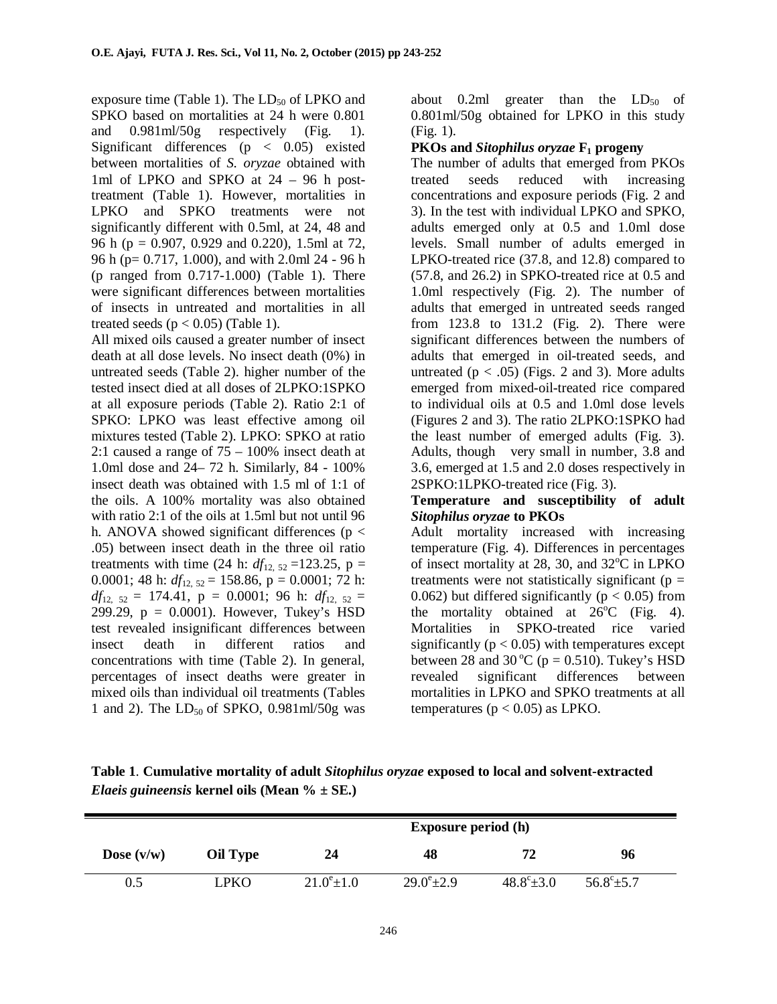exposure time (Table 1). The  $LD_{50}$  of LPKO and SPKO based on mortalities at 24 h were 0.801 and 0.981ml/50g respectively (Fig. 1). Significant differences (p < 0.05) existed between mortalities of *S. oryzae* obtained with 1ml of LPKO and SPKO at 24 – 96 h posttreatment (Table 1). However, mortalities in LPKO and SPKO treatments were not significantly different with 0.5ml, at 24, 48 and 96 h (p = 0.907, 0.929 and 0.220), 1.5ml at 72, 96 h (p= 0.717, 1.000), and with 2.0ml 24 - 96 h (p ranged from 0.717-1.000) (Table 1). There were significant differences between mortalities of insects in untreated and mortalities in all treated seeds ( $p < 0.05$ ) (Table 1).

All mixed oils caused a greater number of insect death at all dose levels. No insect death (0%) in untreated seeds (Table 2). higher number of the tested insect died at all doses of 2LPKO:1SPKO at all exposure periods (Table 2). Ratio 2:1 of SPKO: LPKO was least effective among oil mixtures tested (Table 2). LPKO: SPKO at ratio 2:1 caused a range of 75 – 100% insect death at 1.0ml dose and 24– 72 h. Similarly, 84 - 100% insect death was obtained with 1.5 ml of 1:1 of the oils. A 100% mortality was also obtained with ratio 2:1 of the oils at 1.5ml but not until 96 h. ANOVA showed significant differences ( $p <$ .05) between insect death in the three oil ratio treatments with time (24 h:  $df_{12, 52} = 123.25$ , p = 0.0001; 48 h:  $df_{12, 52} = 158.86$ , p = 0.0001; 72 h:  $df_{12, 52} = 174.41$ ,  $p = 0.0001$ ; 96 h:  $df_{12, 52} =$ 299.29,  $p = 0.0001$ ). However, Tukey's HSD test revealed insignificant differences between insect death in different ratios and concentrations with time (Table 2). In general, percentages of insect deaths were greater in mixed oils than individual oil treatments (Tables 1 and 2). The  $LD_{50}$  of SPKO, 0.981ml/50g was about 0.2ml greater than the  $LD_{50}$  of 0.801ml/50g obtained for LPKO in this study (Fig. 1).

## **PKOs and** *Sitophilus oryzae* **F1 progeny**

The number of adults that emerged from PKOs treated seeds reduced with increasing concentrations and exposure periods (Fig. 2 and 3). In the test with individual LPKO and SPKO, adults emerged only at 0.5 and 1.0ml dose levels. Small number of adults emerged in LPKO-treated rice (37.8, and 12.8) compared to (57.8, and 26.2) in SPKO-treated rice at 0.5 and 1.0ml respectively (Fig. 2). The number of adults that emerged in untreated seeds ranged from 123.8 to 131.2 (Fig. 2). There were significant differences between the numbers of adults that emerged in oil-treated seeds, and untreated  $(p < .05)$  (Figs. 2 and 3). More adults emerged from mixed-oil-treated rice compared to individual oils at 0.5 and 1.0ml dose levels (Figures 2 and 3). The ratio 2LPKO:1SPKO had the least number of emerged adults (Fig. 3). Adults, though very small in number, 3.8 and 3.6, emerged at 1.5 and 2.0 doses respectively in 2SPKO:1LPKO-treated rice (Fig. 3).

#### **Temperature and susceptibility of adult**  *Sitophilus oryzae* **to PKOs**

Adult mortality increased with increasing temperature (Fig. 4). Differences in percentages of insect mortality at  $28$ ,  $30$ , and  $32^{\circ}$ C in LPKO treatments were not statistically significant ( $p =$ 0.062) but differed significantly ( $p < 0.05$ ) from the mortality obtained at  $26^{\circ}$ C (Fig. 4). Mortalities in SPKO-treated rice varied significantly ( $p < 0.05$ ) with temperatures except between 28 and 30 °C ( $p = 0.510$ ). Tukey's HSD revealed significant differences between mortalities in LPKO and SPKO treatments at all temperatures ( $p < 0.05$ ) as LPKO.

**Table 1**. **Cumulative mortality of adult** *Sitophilus oryzae* **exposed to local and solvent-extracted**  *Elaeis guineensis* **kernel oils (Mean % ± SE.)**

|              |          | <b>Exposure period (h)</b> |                      |                      |                     |  |
|--------------|----------|----------------------------|----------------------|----------------------|---------------------|--|
| Dose $(v/w)$ | Oil Type | 24                         | 48                   | 72                   | 96                  |  |
| $0.5\,$      | LPKO     | $21.0^{\circ}$ ±1.0        | $29.0^{\circ}$ ± 2.9 | $48.8^{\circ}$ ± 3.0 | $56.8^{\circ}$ ±5.7 |  |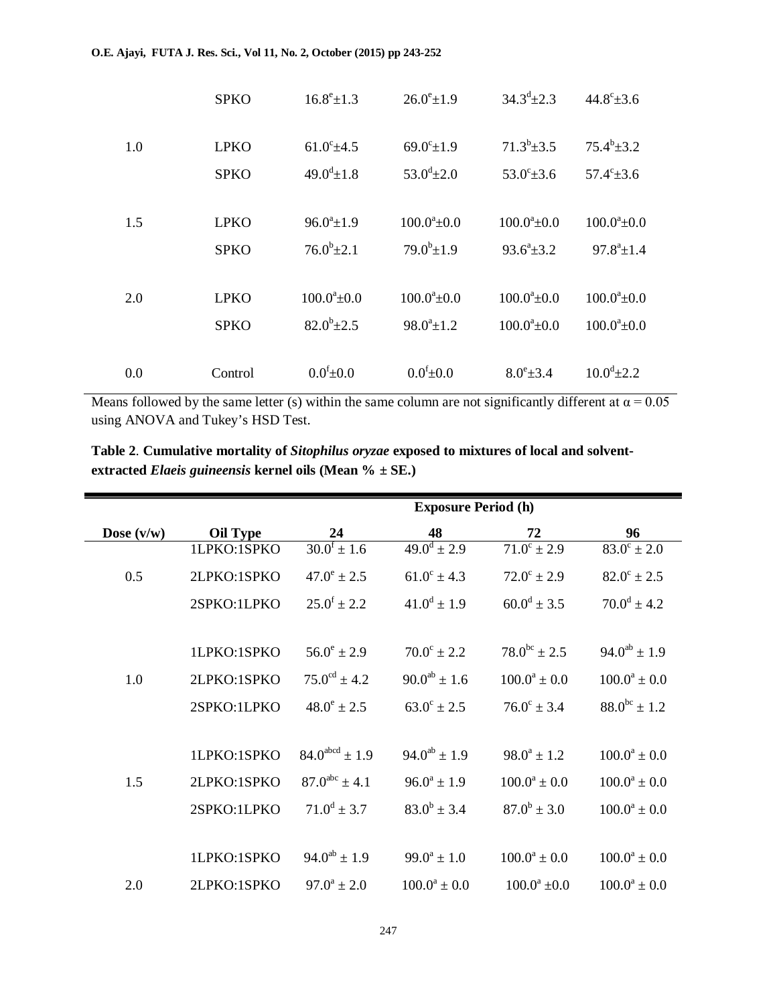|     | <b>SPKO</b>                | $16.8^{\rm e}{\pm}1.3$                     | $26.0^{\circ}$ ±1.9                        | $34.3^{\rm d}$ ±2.3                      | $44.8^{\circ}$ ± 3.6                     |
|-----|----------------------------|--------------------------------------------|--------------------------------------------|------------------------------------------|------------------------------------------|
| 1.0 | <b>LPKO</b><br><b>SPKO</b> | $61.0^{\circ}$ ±4.5<br>$49.0^{\rm d}$ ±1.8 | $69.0^{\circ}$ ±1.9<br>$53.0^{\rm d}$ ±2.0 | $71.3^b \pm 3.5$<br>$53.0^{\circ}$ ± 3.6 | $75.4^b \pm 3.2$<br>$57.4^{\circ}$ ± 3.6 |
| 1.5 | <b>LPKO</b>                | $96.0^a \pm 1.9$                           | $100.0^a \pm 0.0$                          | $100.0^a \pm 0.0$                        | $100.0^a \pm 0.0$                        |
|     | <b>SPKO</b>                | $76.0^b \pm 2.1$                           | $79.0^b \pm 1.9$                           | $93.6^a \pm 3.2$                         | $97.8^a \pm 1.4$                         |
| 2.0 | <b>LPKO</b><br><b>SPKO</b> | $100.0^a \pm 0.0$<br>$82.0^b \pm 2.5$      | $100.0^a \pm 0.0$<br>$98.0^a \pm 1.2$      | $100.0^a \pm 0.0$<br>$100.0^a \pm 0.0$   | $100.0^a \pm 0.0$<br>$100.0^a \pm 0.0$   |
| 0.0 | Control                    | $0.0^{\rm f}{\pm}0.0$                      | $0.0^{\rm f}{\pm}0.0$                      | $8.0^{\circ}$ ± 3.4                      | $10.0^{\rm d}$ ±2.2                      |

Means followed by the same letter (s) within the same column are not significantly different at  $\alpha = 0.05$ using ANOVA and Tukey's HSD Test.

**Table 2**. **Cumulative mortality of** *Sitophilus oryzae* **exposed to mixtures of local and solventextracted** *Elaeis guineensis* **kernel oils (Mean % ± SE.)**

|              |                 | <b>Exposure Period (h)</b>  |                             |                        |                        |
|--------------|-----------------|-----------------------------|-----------------------------|------------------------|------------------------|
| Dose $(v/w)$ | <b>Oil Type</b> | 24                          | 48                          | 72                     | 96                     |
|              | 1LPKO:1SPKO     | $\overline{30.0^f \pm 1.6}$ | $\overline{49.0^d \pm 2.9}$ | $71.0^{\circ} \pm 2.9$ | $83.0^{\circ} \pm 2.0$ |
| 0.5          | 2LPKO:1SPKO     | $47.0^e \pm 2.5$            | $61.0^{\circ} \pm 4.3$      | $72.0^{\circ} \pm 2.9$ | $82.0^{\circ} \pm 2.5$ |
|              | 2SPKO:1LPKO     | $25.0^{\rm f} \pm 2.2$      | $41.0^d \pm 1.9$            | $60.0^d \pm 3.5$       | $70.0^d \pm 4.2$       |
|              |                 |                             |                             |                        |                        |
|              | 1LPKO:1SPKO     | $56.0^{\circ} \pm 2.9$      | $70.0^{\circ} \pm 2.2$      | $78.0^{bc} \pm 2.5$    | $94.0^{ab} \pm 1.9$    |
| 1.0          | 2LPKO:1SPKO     | $75.0^{\text{cd}} \pm 4.2$  | $90.0^{ab} \pm 1.6$         | $100.0^a \pm 0.0$      | $100.0^a \pm 0.0$      |
|              | 2SPKO:1LPKO     | $48.0^{\circ} \pm 2.5$      | $63.0^{\circ} \pm 2.5$      | $76.0^{\circ} \pm 3.4$ | $88.0^{bc} \pm 1.2$    |
|              |                 |                             |                             |                        |                        |
|              | 1LPKO:1SPKO     | $84.0^{abcd} \pm 1.9$       | $94.0^{ab} \pm 1.9$         | $98.0^a \pm 1.2$       | $100.0^a \pm 0.0$      |
| 1.5          | 2LPKO:1SPKO     | $87.0^{abc} \pm 4.1$        | $96.0^a \pm 1.9$            | $100.0^a \pm 0.0$      | $100.0^a \pm 0.0$      |
|              | 2SPKO:1LPKO     | $71.0^d \pm 3.7$            | $83.0^b \pm 3.4$            | $87.0^b \pm 3.0$       | $100.0^a \pm 0.0$      |
|              |                 |                             |                             |                        |                        |
|              | 1LPKO:1SPKO     | $94.0^{ab} \pm 1.9$         | $99.0^a \pm 1.0$            | $100.0^a \pm 0.0$      | $100.0^a \pm 0.0$      |
| 2.0          | 2LPKO:1SPKO     | $97.0^a \pm 2.0$            | $100.0^a \pm 0.0$           | $100.0^a \pm 0.0$      | $100.0^a \pm 0.0$      |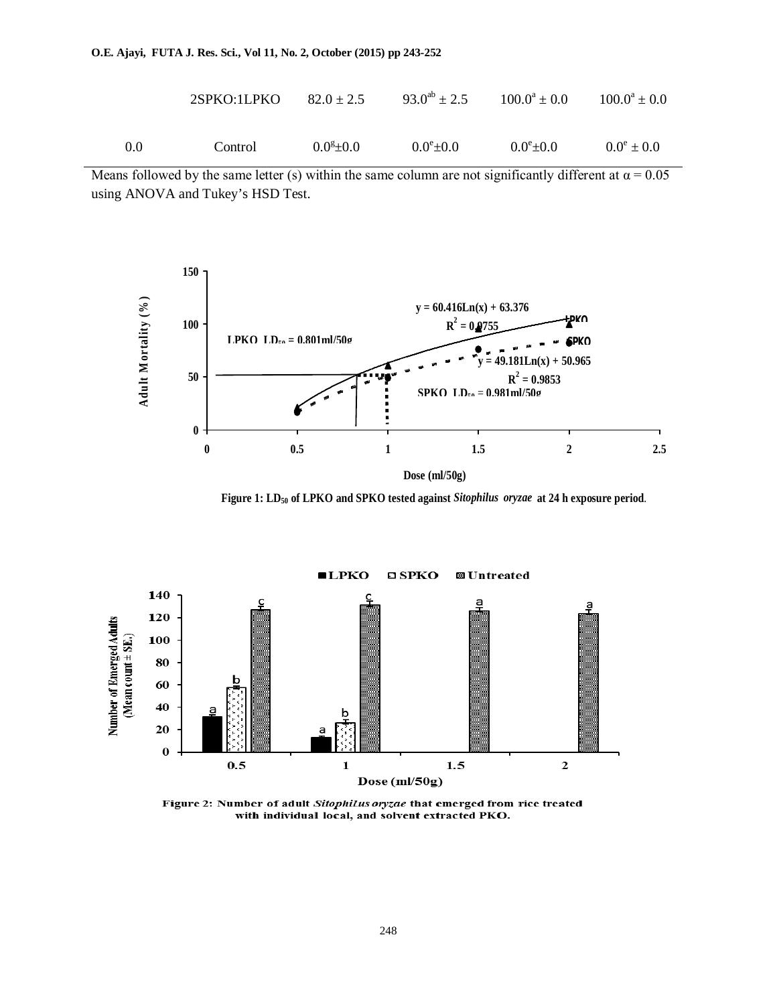|     | 2SPKO:1LPKO | $82.0 \pm 2.5$  | $93.0^{ab} \pm 2.5$ | $100.0^a \pm 0.0$   | $100.0^a \pm 0.0$ |
|-----|-------------|-----------------|---------------------|---------------------|-------------------|
| 0.0 | Control     | $0.0^{g}$ + 0.0 | $0.0^{\circ}$ ± 0.0 | $0.0^{\circ}$ + 0.0 | $0.0^e \pm 0.0$   |

Means followed by the same letter (s) within the same column are not significantly different at  $\alpha = 0.05$ using ANOVA and Tukey's HSD Test.



**Figure 1: LD50 of LPKO and SPKO tested against** *Sitophilus oryzae* **at 24 h exposure period**.



Figure 2: Number of adult Sitophilus oryzae that emerged from rice treated with individual local, and solvent extracted PKO.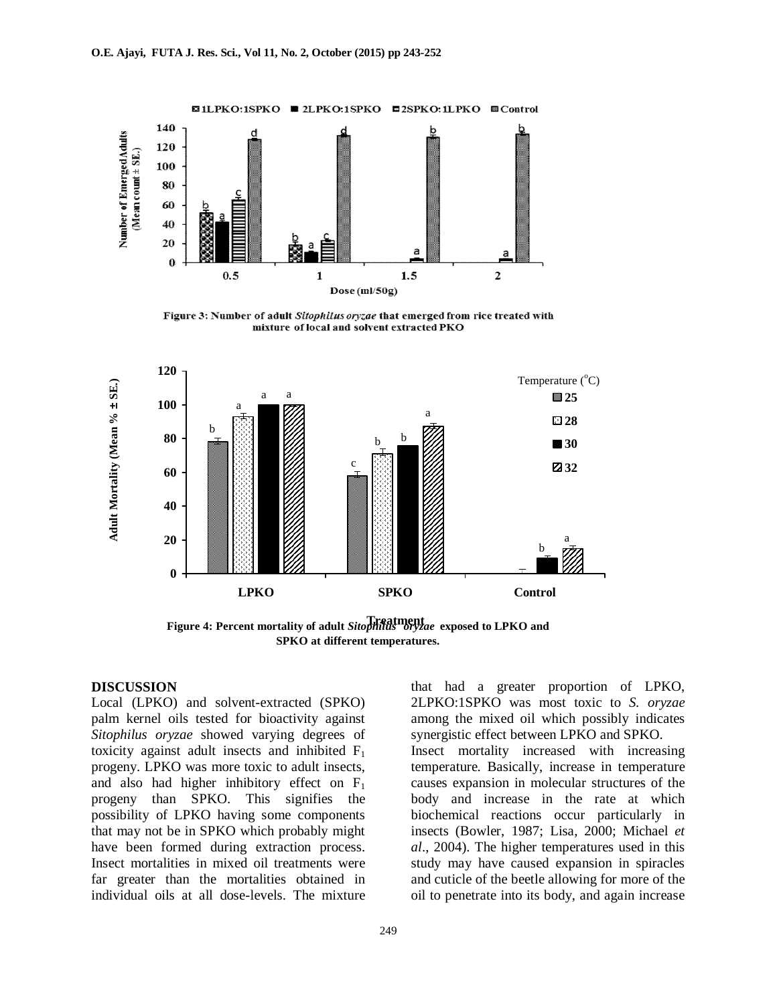

Figure 3: Number of adult Sitophilus oryzae that emerged from rice treated with mixture of local and solvent extracted PKO



**Figure 4: Percent mortality of adult** *Sitophilus oryzae* **exposed to LPKO and Treatment SPKO at different temperatures.**

#### **DISCUSSION**

Local (LPKO) and solvent-extracted (SPKO) palm kernel oils tested for bioactivity against *Sitophilus oryzae* showed varying degrees of toxicity against adult insects and inhibited  $F_1$ progeny. LPKO was more toxic to adult insects, and also had higher inhibitory effect on  $F_1$ progeny than SPKO. This signifies the possibility of LPKO having some components that may not be in SPKO which probably might have been formed during extraction process. Insect mortalities in mixed oil treatments were far greater than the mortalities obtained in individual oils at all dose-levels. The mixture that had a greater proportion of LPKO, 2LPKO:1SPKO was most toxic to *S. oryzae* among the mixed oil which possibly indicates synergistic effect between LPKO and SPKO. Insect mortality increased with increasing temperature. Basically, increase in temperature causes expansion in molecular structures of the body and increase in the rate at which biochemical reactions occur particularly in

insects (Bowler, 1987; Lisa, 2000; Michael *et al*., 2004). The higher temperatures used in this study may have caused expansion in spiracles and cuticle of the beetle allowing for more of the oil to penetrate into its body, and again increase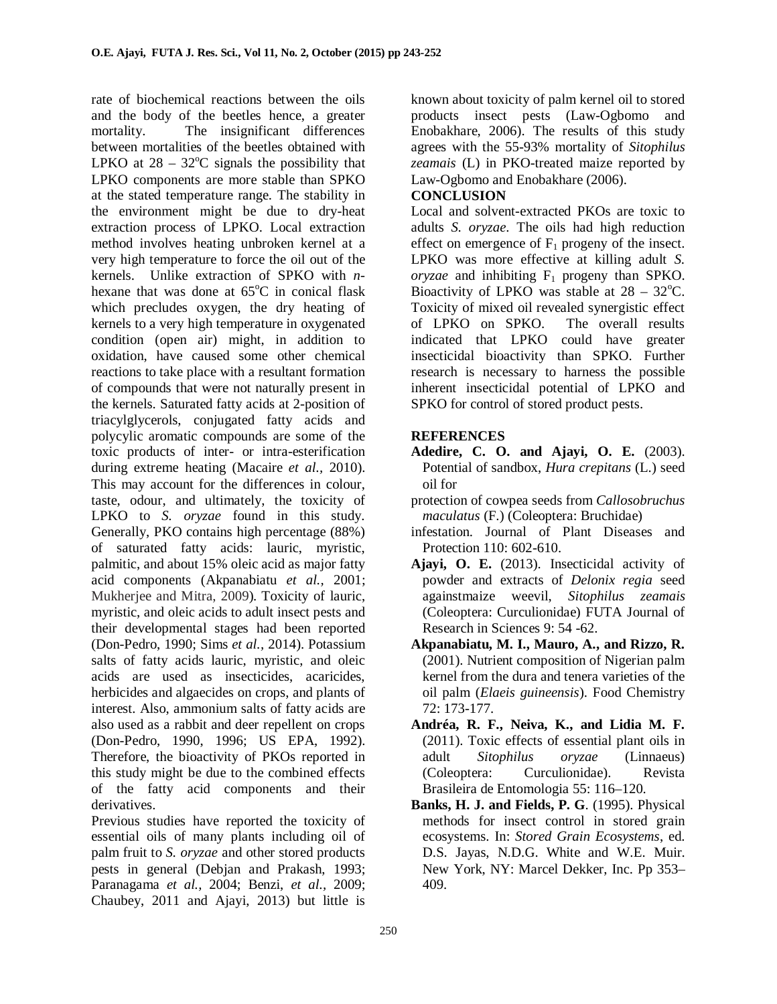rate of biochemical reactions between the oils and the body of the beetles hence, a greater mortality. The insignificant differences between mortalities of the beetles obtained with LPKO at  $28 - 32^{\circ}$ C signals the possibility that LPKO components are more stable than SPKO at the stated temperature range. The stability in the environment might be due to dry-heat extraction process of LPKO. Local extraction method involves heating unbroken kernel at a very high temperature to force the oil out of the kernels. Unlike extraction of SPKO with *n*hexane that was done at  $65^{\circ}$ C in conical flask which precludes oxygen, the dry heating of kernels to a very high temperature in oxygenated condition (open air) might, in addition to oxidation, have caused some other chemical reactions to take place with a resultant formation of compounds that were not naturally present in the kernels. Saturated fatty acids at 2-position of triacylglycerols, conjugated fatty acids and polycylic aromatic compounds are some of the toxic products of inter- or intra-esterification during extreme heating (Macaire *et al.,* 2010). This may account for the differences in colour, taste, odour, and ultimately, the toxicity of LPKO to *S. oryzae* found in this study. Generally, PKO contains high percentage (88%) of saturated fatty acids: lauric, myristic, palmitic, and about 15% oleic acid as major fatty acid components (Akpanabiatu *et al.,* 2001; Mukherjee and Mitra, 2009). Toxicity of lauric, myristic, and oleic acids to adult insect pests and their developmental stages had been reported (Don-Pedro, 1990; Sims *et al.,* 2014). Potassium salts of fatty acids lauric, myristic, and oleic acids are used as insecticides, acaricides, herbicides and algaecides on crops, and plants of interest. Also, ammonium salts of fatty acids are also used as a rabbit and deer repellent on crops (Don-Pedro, 1990, 1996; US EPA, 1992). Therefore, the bioactivity of PKOs reported in this study might be due to the combined effects of the fatty acid components and their derivatives.

Previous studies have reported the toxicity of essential oils of many plants including oil of palm fruit to *S. oryzae* and other stored products pests in general (Debjan and Prakash, 1993; Paranagama *et al.,* 2004; Benzi, *et al.,* 2009; Chaubey, 2011 and Ajayi, 2013) but little is

known about toxicity of palm kernel oil to stored products insect pests (Law-Ogbomo and Enobakhare, 2006). The results of this study agrees with the 55-93% mortality of *Sitophilus zeamais* (L) in PKO-treated maize reported by Law-Ogbomo and Enobakhare (2006).

#### **CONCLUSION**

Local and solvent-extracted PKOs are toxic to adults *S. oryzae*. The oils had high reduction effect on emergence of  $F_1$  progeny of the insect. LPKO was more effective at killing adult *S. oryzae* and inhibiting  $F_1$  progeny than SPKO. Bioactivity of LPKO was stable at  $28 - 32^{\circ}C$ . Toxicity of mixed oil revealed synergistic effect of LPKO on SPKO. The overall results indicated that LPKO could have greater insecticidal bioactivity than SPKO. Further research is necessary to harness the possible inherent insecticidal potential of LPKO and SPKO for control of stored product pests.

# **REFERENCES**

- **Adedire, C. O. and Ajayi, O. E.** (2003). Potential of sandbox, *Hura crepitans* (L.) seed oil for
- protection of cowpea seeds from *Callosobruchus maculatus* (F.) (Coleoptera: Bruchidae)
- infestation. Journal of Plant Diseases and Protection 110: 602-610.
- **Ajayi, O. E.** (2013). Insecticidal activity of powder and extracts of *Delonix regia* seed againstmaize weevil, *Sitophilus zeamais* (Coleoptera: Curculionidae) FUTA Journal of Research in Sciences 9: 54 -62.
- **Akpanabiatu, M. I., Mauro, A., and Rizzo, R.** (2001). Nutrient composition of Nigerian palm kernel from the dura and tenera varieties of the oil palm (*Elaeis guineensis*). Food Chemistry 72: 173-177.
- **Andréa, R. F., Neiva, K., and Lidia M. F.** (2011). Toxic effects of essential plant oils in adult *Sitophilus oryzae* (Linnaeus) (Coleoptera: Curculionidae). Revista Brasileira de Entomologia 55: 116–120.
- **Banks, H. J. and Fields, P. G**. (1995). Physical methods for insect control in stored grain ecosystems. In: *Stored Grain Ecosystems*, ed. D.S. Jayas, N.D.G. White and W.E. Muir. New York, NY: Marcel Dekker, Inc. Pp 353– 409.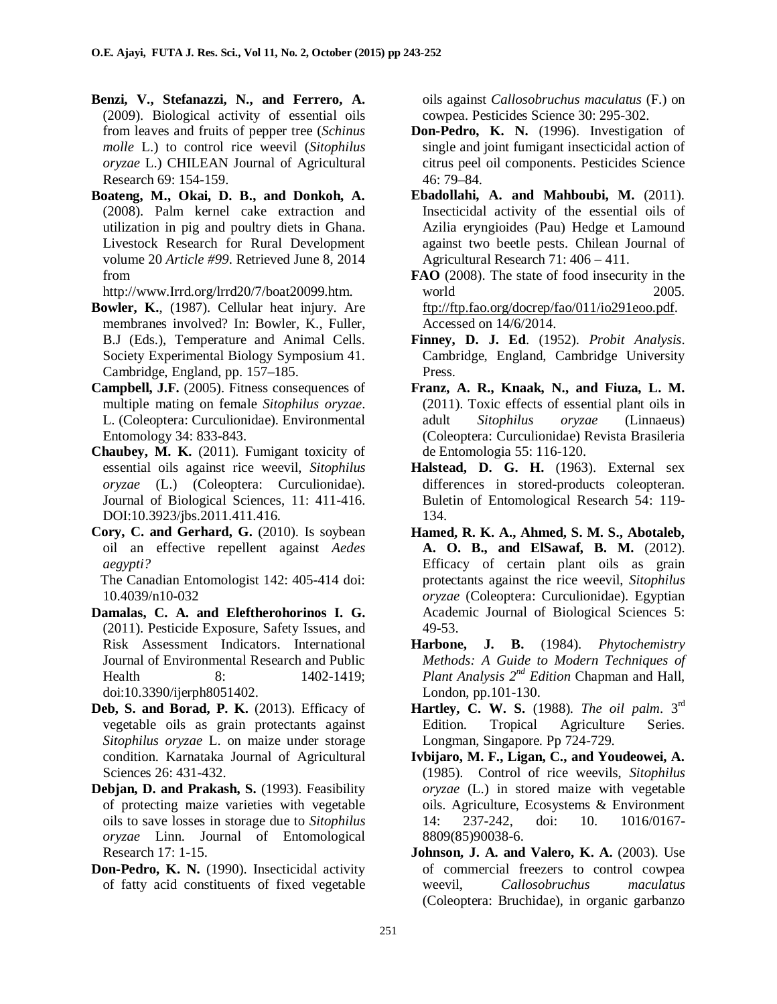- **Benzi, V., Stefanazzi, N., and Ferrero, A.** (2009). Biological activity of essential oils from leaves and fruits of pepper tree (*Schinus molle* L.) to control rice weevil (*Sitophilus oryzae* L.) CHILEAN Journal of Agricultural Research 69: 154-159.
- **Boateng, M., Okai, D. B., and Donkoh, A.** (2008). Palm kernel cake extraction and utilization in pig and poultry diets in Ghana. Livestock Research for Rural Development volume 20 *Article #99*. Retrieved June 8, 2014 from

http://www.Irrd.org/lrrd20/7/boat20099.htm.

- **Bowler, K.**, (1987). Cellular heat injury. Are membranes involved? In: Bowler, K., Fuller, B.J (Eds.), Temperature and Animal Cells. Society Experimental Biology Symposium 41. Cambridge, England, pp. 157–185.
- **Campbell, J.F.** (2005). Fitness consequences of multiple mating on female *Sitophilus oryzae*. L. (Coleoptera: Curculionidae). Environmental Entomology 34: 833-843.
- **Chaubey, M. K.** (2011). Fumigant toxicity of essential oils against rice weevil, *Sitophilus oryzae* (L.) (Coleoptera: Curculionidae). Journal of Biological Sciences, 11: 411-416. DOI:10.3923/jbs.2011.411.416.
- **Cory, C. and Gerhard, G.** (2010). Is soybean oil an effective repellent against *Aedes aegypti?*

 The Canadian Entomologist 142: 405-414 doi: 10.4039/n10-032

- **Damalas, C. A. and Eleftherohorinos I. G.** (2011). Pesticide Exposure, Safety Issues, and Risk Assessment Indicators. International Journal of Environmental Research and Public Health 8: 1402-1419; doi:10.3390/ijerph8051402.
- **Deb, S. and Borad, P. K.** (2013). Efficacy of vegetable oils as grain protectants against *Sitophilus oryzae* L. on maize under storage condition. Karnataka Journal of Agricultural Sciences 26: 431-432.
- **Debjan, D. and Prakash, S.** (1993). Feasibility of protecting maize varieties with vegetable oils to save losses in storage due to *Sitophilus oryzae* Linn. Journal of Entomological Research 17: 1-15.
- **Don-Pedro, K. N.** (1990). Insecticidal activity of fatty acid constituents of fixed vegetable

oils against *Callosobruchus maculatus* (F.) on cowpea. Pesticides Science 30: 295-302.

- **Don-Pedro, K. N.** (1996). Investigation of single and joint fumigant insecticidal action of citrus peel oil components. Pesticides Science 46: 79–84.
- **Ebadollahi, A. and Mahboubi, M.** (2011). Insecticidal activity of the essential oils of Azilia eryngioides (Pau) Hedge et Lamound against two beetle pests. Chilean Journal of Agricultural Research 71: 406 – 411.
- **FAO** (2008). The state of food insecurity in the world 2005. ftp://ftp.fao.org/docrep/fao/011/io291eoo.pdf. Accessed on 14/6/2014.
- **Finney, D. J. Ed**. (1952). *Probit Analysis*. Cambridge, England, Cambridge University Press.
- **Franz, A. R., Knaak, N., and Fiuza, L. M.** (2011). Toxic effects of essential plant oils in adult *Sitophilus oryzae* (Linnaeus) (Coleoptera: Curculionidae) Revista Brasileria de Entomologia 55: 116-120.
- **Halstead, D. G. H.** (1963). External sex differences in stored-products coleopteran. Buletin of Entomological Research 54: 119- 134.
- **Hamed, R. K. A., Ahmed, S. M. S., Abotaleb, A. O. B., and ElSawaf, B. M.** (2012). Efficacy of certain plant oils as grain protectants against the rice weevil, *Sitophilus oryzae* (Coleoptera: Curculionidae). Egyptian Academic Journal of Biological Sciences 5: 49-53.
- **Harbone, J. B.** (1984). *Phytochemistry Methods: A Guide to Modern Techniques of Plant Analysis 2nd Edition* Chapman and Hall, London, pp.101-130.
- **Hartley, C. W. S.** (1988). *The oil palm*. 3rd Edition. Tropical Agriculture Series. Longman, Singapore. Pp 724-729.
- **Ivbijaro, M. F., Ligan, C., and Youdeowei, A.** (1985). Control of rice weevils, *Sitophilus oryzae* (L.) in stored maize with vegetable oils. Agriculture, Ecosystems & Environment 14: 237-242, doi: 10. 1016/0167- 8809(85)90038-6.
- **Johnson, J. A. and Valero, K. A.** (2003). Use of commercial freezers to control cowpea weevil, *Callosobruchus maculatus* (Coleoptera: Bruchidae), in organic garbanzo